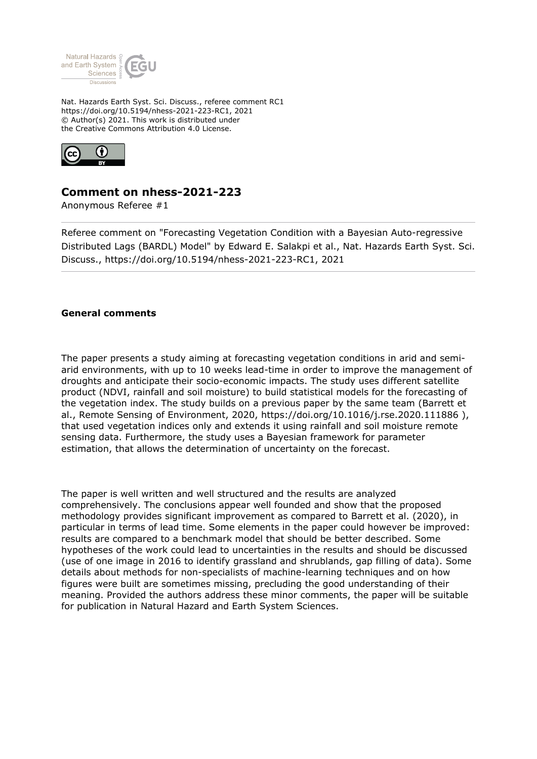

Nat. Hazards Earth Syst. Sci. Discuss., referee comment RC1 https://doi.org/10.5194/nhess-2021-223-RC1, 2021 © Author(s) 2021. This work is distributed under the Creative Commons Attribution 4.0 License.



## **Comment on nhess-2021-223**

Anonymous Referee #1

Referee comment on "Forecasting Vegetation Condition with a Bayesian Auto-regressive Distributed Lags (BARDL) Model" by Edward E. Salakpi et al., Nat. Hazards Earth Syst. Sci. Discuss., https://doi.org/10.5194/nhess-2021-223-RC1, 2021

## **General comments**

The paper presents a study aiming at forecasting vegetation conditions in arid and semiarid environments, with up to 10 weeks lead-time in order to improve the management of droughts and anticipate their socio-economic impacts. The study uses different satellite product (NDVI, rainfall and soil moisture) to build statistical models for the forecasting of the vegetation index. The study builds on a previous paper by the same team (Barrett et al., Remote Sensing of Environment, 2020, https://doi.org/10.1016/j.rse.2020.111886 ), that used vegetation indices only and extends it using rainfall and soil moisture remote sensing data. Furthermore, the study uses a Bayesian framework for parameter estimation, that allows the determination of uncertainty on the forecast.

The paper is well written and well structured and the results are analyzed comprehensively. The conclusions appear well founded and show that the proposed methodology provides significant improvement as compared to Barrett et al. (2020), in particular in terms of lead time. Some elements in the paper could however be improved: results are compared to a benchmark model that should be better described. Some hypotheses of the work could lead to uncertainties in the results and should be discussed (use of one image in 2016 to identify grassland and shrublands, gap filling of data). Some details about methods for non-specialists of machine-learning techniques and on how figures were built are sometimes missing, precluding the good understanding of their meaning. Provided the authors address these minor comments, the paper will be suitable for publication in Natural Hazard and Earth System Sciences.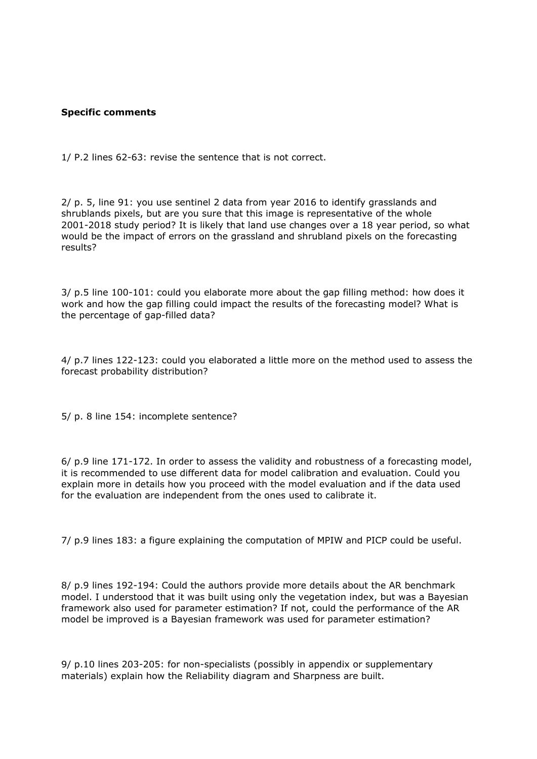## **Specific comments**

1/ P.2 lines 62-63: revise the sentence that is not correct.

2/ p. 5, line 91: you use sentinel 2 data from year 2016 to identify grasslands and shrublands pixels, but are you sure that this image is representative of the whole 2001-2018 study period? It is likely that land use changes over a 18 year period, so what would be the impact of errors on the grassland and shrubland pixels on the forecasting results?

3/ p.5 line 100-101: could you elaborate more about the gap filling method: how does it work and how the gap filling could impact the results of the forecasting model? What is the percentage of gap-filled data?

4/ p.7 lines 122-123: could you elaborated a little more on the method used to assess the forecast probability distribution?

5/ p. 8 line 154: incomplete sentence?

6/ p.9 line 171-172. In order to assess the validity and robustness of a forecasting model, it is recommended to use different data for model calibration and evaluation. Could you explain more in details how you proceed with the model evaluation and if the data used for the evaluation are independent from the ones used to calibrate it.

7/ p.9 lines 183: a figure explaining the computation of MPIW and PICP could be useful.

8/ p.9 lines 192-194: Could the authors provide more details about the AR benchmark model. I understood that it was built using only the vegetation index, but was a Bayesian framework also used for parameter estimation? If not, could the performance of the AR model be improved is a Bayesian framework was used for parameter estimation?

9/ p.10 lines 203-205: for non-specialists (possibly in appendix or supplementary materials) explain how the Reliability diagram and Sharpness are built.